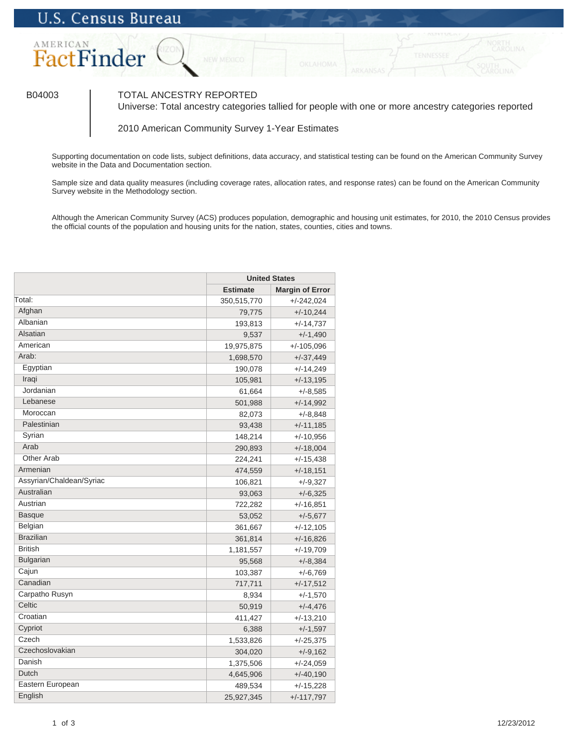

## B04003 TOTAL ANCESTRY REPORTED

Universe: Total ancestry categories tallied for people with one or more ancestry categories reported

2010 American Community Survey 1-Year Estimates

Supporting documentation on code lists, subject definitions, data accuracy, and statistical testing can be found on the American Community Survey website in the Data and Documentation section.

Sample size and data quality measures (including coverage rates, allocation rates, and response rates) can be found on the American Community Survey website in the Methodology section.

Although the American Community Survey (ACS) produces population, demographic and housing unit estimates, for 2010, the 2010 Census provides the official counts of the population and housing units for the nation, states, counties, cities and towns.

|                          | <b>United States</b> |                        |
|--------------------------|----------------------|------------------------|
|                          | <b>Estimate</b>      | <b>Margin of Error</b> |
| Total:                   | 350,515,770          | $+/-242,024$           |
| Afghan                   | 79,775               | $+/-10,244$            |
| Albanian                 | 193,813              | $+/-14,737$            |
| Alsatian                 | 9,537                | $+/-1,490$             |
| American                 | 19,975,875           | $+/-105,096$           |
| Arab:                    | 1,698,570            | $+/-37,449$            |
| Egyptian                 | 190,078              | $+/-14,249$            |
| Iraqi                    | 105,981              | $+/-13,195$            |
| Jordanian                | 61,664               | $+/-8,585$             |
| Lebanese                 | 501,988              | $+/-14,992$            |
| Moroccan                 | 82,073               | $+/-8,848$             |
| Palestinian              | 93,438               | $+/-11,185$            |
| Syrian                   | 148,214              | $+/-10,956$            |
| Arab                     | 290,893              | $+/-18,004$            |
| Other Arab               | 224,241              | $+/-15,438$            |
| Armenian                 | 474,559              | $+/-18,151$            |
| Assyrian/Chaldean/Syriac | 106,821              | $+/-9,327$             |
| Australian               | 93,063               | $+/-6,325$             |
| Austrian                 | 722,282              | $+/-16,851$            |
| <b>Basque</b>            | 53,052               | $+/-5,677$             |
| Belgian                  | 361,667              | $+/-12,105$            |
| <b>Brazilian</b>         | 361,814              | $+/-16,826$            |
| <b>British</b>           | 1,181,557            | $+/-19,709$            |
| <b>Bulgarian</b>         | 95,568               | $+/-8,384$             |
| Cajun                    | 103,387              | $+/-6,769$             |
| Canadian                 | 717,711              | $+/-17,512$            |
| Carpatho Rusyn           | 8,934                | $+/-1,570$             |
| Celtic                   | 50,919               | $+/-4,476$             |
| Croatian                 | 411,427              | $+/-13,210$            |
| Cypriot                  | 6,388                | +/-1,597               |
| Czech                    | 1,533,826            | +/-25,375              |
| Czechoslovakian          | 304,020              | $+/-9,162$             |
| Danish                   | 1,375,506            | $+/-24,059$            |
| Dutch                    | 4,645,906            | $+/-40,190$            |
| Eastern European         | 489,534              | $+/-15,228$            |
| English                  | 25,927,345           | $+/-117,797$           |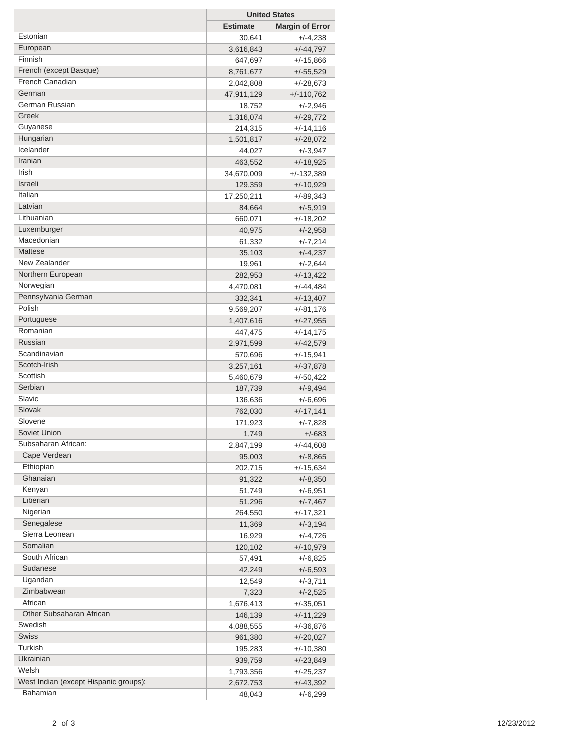|                                       | <b>United States</b> |                        |
|---------------------------------------|----------------------|------------------------|
|                                       | <b>Estimate</b>      | <b>Margin of Error</b> |
| Estonian                              | 30,641               | $+/-4,238$             |
| European                              | 3,616,843            | $+/-44,797$            |
| Finnish                               | 647,697              | $+/-15,866$            |
| French (except Basque)                | 8,761,677            | $+/-55,529$            |
| French Canadian                       | 2,042,808            | $+/-28,673$            |
| German                                | 47,911,129           | $+/-110,762$           |
| German Russian                        | 18,752               | $+/-2,946$             |
| Greek                                 | 1,316,074            | $+/-29,772$            |
| Guyanese                              | 214,315              | $+/-14,116$            |
| Hungarian                             | 1,501,817            | $+/-28,072$            |
| Icelander                             | 44,027               | $+/-3,947$             |
| Iranian                               | 463,552              | $+/-18,925$            |
| Irish                                 | 34,670,009           | $+/-132,389$           |
| Israeli                               | 129,359              | $+/-10,929$            |
| Italian                               | 17,250,211           | $+/-89,343$            |
| Latvian                               | 84,664               | $+/-5,919$             |
| Lithuanian                            | 660,071              | $+/-18,202$            |
| Luxemburger                           | 40,975               | $+/-2,958$             |
| Macedonian                            | 61,332               | $+/-7,214$             |
| Maltese                               | 35,103               | $+/-4,237$             |
| New Zealander                         | 19,961               | $+/-2,644$             |
| Northern European                     | 282,953              | $+/-13,422$            |
| Norwegian                             | 4,470,081            | $+/-44,484$            |
| Pennsylvania German                   | 332,341              | $+/-13,407$            |
| Polish                                | 9,569,207            | +/-81,176              |
| Portuguese                            | 1,407,616            | $+/-27,955$            |
| Romanian                              | 447,475              | $+/-14,175$            |
| Russian                               | 2,971,599            | $+/-42,579$            |
| Scandinavian                          | 570,696              | $+/-15,941$            |
| Scotch-Irish                          | 3,257,161            | $+/-37,878$            |
| Scottish                              | 5,460,679            | $+/-50,422$            |
| Serbian                               | 187,739              | $+/-9,494$             |
| Slavic                                | 136,636              | $+/-6,696$             |
| Slovak                                | 762,030              | $+/-17,141$            |
| Slovene                               | 171,923              | +/-7,828               |
| Soviet Union                          | 1,749                | +/-683                 |
| Subsaharan African:                   | 2,847,199            | +/-44,608              |
| Cape Verdean                          | 95,003               | $+/-8,865$             |
| Ethiopian                             | 202,715              | $+/-15,634$            |
| Ghanaian                              | 91,322               | $+/-8,350$             |
| Kenyan                                | 51,749               | $+/-6,951$             |
| Liberian                              | 51,296               | $+/-7,467$             |
| Nigerian                              | 264,550              | $+/-17,321$            |
| Senegalese                            | 11,369               | $+/-3,194$             |
| Sierra Leonean                        | 16,929               | +/-4,726               |
| Somalian                              | 120,102              | $+/-10,979$            |
| South African                         | 57,491               | +/-6,825               |
| Sudanese                              | 42,249               | $+/-6,593$             |
| Ugandan                               | 12,549               | $+/-3,711$             |
| Zimbabwean                            | 7,323                | $+/-2,525$             |
| African                               | 1,676,413            | $+/-35,051$            |
| Other Subsaharan African              | 146,139              | $+/-11,229$            |
| Swedish                               | 4,088,555            | +/-36,876              |
| <b>Swiss</b>                          | 961,380              | $+/-20,027$            |
| Turkish                               | 195,283              | $+/-10,380$            |
| Ukrainian                             | 939,759              | $+/-23,849$            |
| Welsh                                 | 1,793,356            | $+/-25,237$            |
| West Indian (except Hispanic groups): | 2,672,753            | $+/-43,392$            |
| Bahamian                              | 48,043               | $+/-6,299$             |